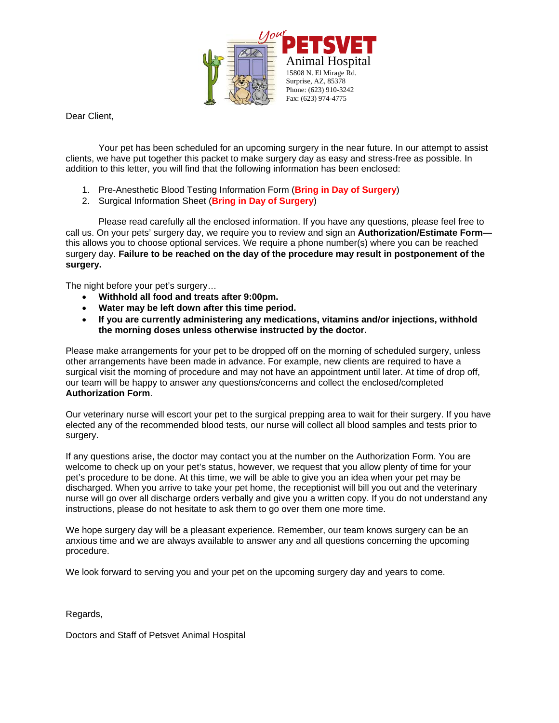

Dear Client,

Your pet has been scheduled for an upcoming surgery in the near future. In our attempt to assist clients, we have put together this packet to make surgery day as easy and stress-free as possible. In addition to this letter, you will find that the following information has been enclosed:

- 1. Pre-Anesthetic Blood Testing Information Form (**Bring in Day of Surgery**)
- 2. Surgical Information Sheet (**Bring in Day of Surgery**)

Please read carefully all the enclosed information. If you have any questions, please feel free to call us. On your pets' surgery day, we require you to review and sign an **Authorization/Estimate Form**  this allows you to choose optional services. We require a phone number(s) where you can be reached surgery day. **Failure to be reached on the day of the procedure may result in postponement of the surgery.** 

The night before your pet's surgery…

- **Withhold all food and treats after 9:00pm.**
- **Water may be left down after this time period.**
- **If you are currently administering any medications, vitamins and/or injections, withhold the morning doses unless otherwise instructed by the doctor.**

Please make arrangements for your pet to be dropped off on the morning of scheduled surgery, unless other arrangements have been made in advance. For example, new clients are required to have a surgical visit the morning of procedure and may not have an appointment until later. At time of drop off, our team will be happy to answer any questions/concerns and collect the enclosed/completed **Authorization Form**.

Our veterinary nurse will escort your pet to the surgical prepping area to wait for their surgery. If you have elected any of the recommended blood tests, our nurse will collect all blood samples and tests prior to surgery.

If any questions arise, the doctor may contact you at the number on the Authorization Form. You are welcome to check up on your pet's status, however, we request that you allow plenty of time for your pet's procedure to be done. At this time, we will be able to give you an idea when your pet may be discharged. When you arrive to take your pet home, the receptionist will bill you out and the veterinary nurse will go over all discharge orders verbally and give you a written copy. If you do not understand any instructions, please do not hesitate to ask them to go over them one more time.

We hope surgery day will be a pleasant experience. Remember, our team knows surgery can be an anxious time and we are always available to answer any and all questions concerning the upcoming procedure.

We look forward to serving you and your pet on the upcoming surgery day and years to come.

Regards,

Doctors and Staff of Petsvet Animal Hospital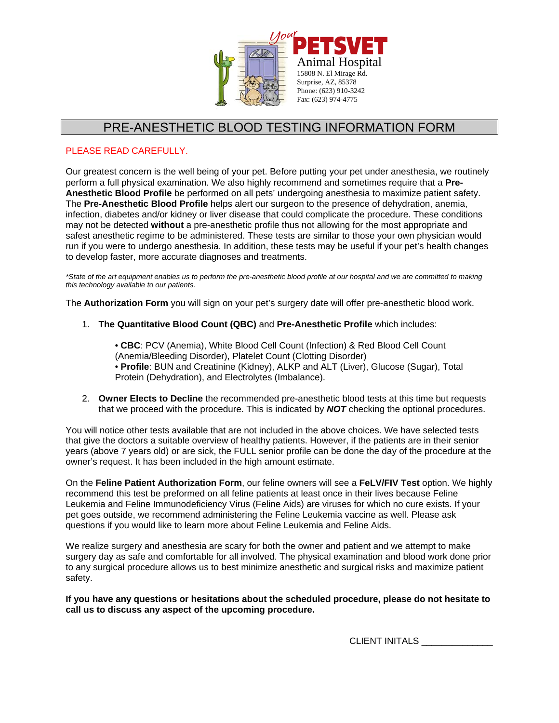

# PRE-ANESTHETIC BLOOD TESTING INFORMATION FORM

### PLEASE READ CAREFULLY.

Our greatest concern is the well being of your pet. Before putting your pet under anesthesia, we routinely perform a full physical examination. We also highly recommend and sometimes require that a **Pre-Anesthetic Blood Profile** be performed on all pets' undergoing anesthesia to maximize patient safety. The **Pre-Anesthetic Blood Profile** helps alert our surgeon to the presence of dehydration, anemia, infection, diabetes and/or kidney or liver disease that could complicate the procedure. These conditions may not be detected **without** a pre-anesthetic profile thus not allowing for the most appropriate and safest anesthetic regime to be administered. These tests are similar to those your own physician would run if you were to undergo anesthesia. In addition, these tests may be useful if your pet's health changes to develop faster, more accurate diagnoses and treatments.

*\*State of the art equipment enables us to perform the pre-anesthetic blood profile at our hospital and we are committed to making this technology available to our patients.* 

The **Authorization Form** you will sign on your pet's surgery date will offer pre-anesthetic blood work.

1. **The Quantitative Blood Count (QBC)** and **Pre-Anesthetic Profile** which includes:

• **CBC**: PCV (Anemia), White Blood Cell Count (Infection) & Red Blood Cell Count (Anemia/Bleeding Disorder), Platelet Count (Clotting Disorder) • **Profile**: BUN and Creatinine (Kidney), ALKP and ALT (Liver), Glucose (Sugar), Total Protein (Dehydration), and Electrolytes (Imbalance).

2. **Owner Elects to Decline** the recommended pre-anesthetic blood tests at this time but requests that we proceed with the procedure. This is indicated by *NOT* checking the optional procedures.

You will notice other tests available that are not included in the above choices. We have selected tests that give the doctors a suitable overview of healthy patients. However, if the patients are in their senior years (above 7 years old) or are sick, the FULL senior profile can be done the day of the procedure at the owner's request. It has been included in the high amount estimate.

On the **Feline Patient Authorization Form**, our feline owners will see a **FeLV/FIV Test** option. We highly recommend this test be preformed on all feline patients at least once in their lives because Feline Leukemia and Feline Immunodeficiency Virus (Feline Aids) are viruses for which no cure exists. If your pet goes outside, we recommend administering the Feline Leukemia vaccine as well. Please ask questions if you would like to learn more about Feline Leukemia and Feline Aids.

We realize surgery and anesthesia are scary for both the owner and patient and we attempt to make surgery day as safe and comfortable for all involved. The physical examination and blood work done prior to any surgical procedure allows us to best minimize anesthetic and surgical risks and maximize patient safety.

**If you have any questions or hesitations about the scheduled procedure, please do not hesitate to call us to discuss any aspect of the upcoming procedure.** 

CLIENT INITALS \_\_\_\_\_\_\_\_\_\_\_\_\_\_